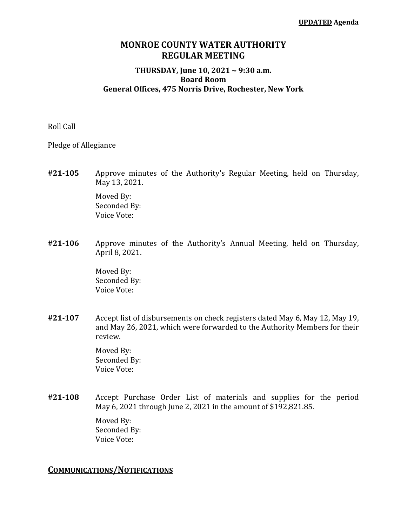### **MONROE COUNTY WATER AUTHORITY REGULAR MEETING**

#### **THURSDAY, June 10, 2021 ~ 9:30 a.m. Board Room General Offices, 475 Norris Drive, Rochester, New York**

Roll Call

Pledge of Allegiance

**#21‐105** Approve minutes of the Authority's Regular Meeting, held on Thursday, May 13, 2021.

> Moved By: Seconded By: Voice Vote:

**#21‐106** Approve minutes of the Authority's Annual Meeting, held on Thursday, April 8, 2021.

> Moved By: Seconded By: Voice Vote:

**#21‐107** Accept list of disbursements on check registers dated May 6, May 12, May 19, and May 26, 2021, which were forwarded to the Authority Members for their review.

> Moved By: Seconded By: Voice Vote:

**#21‐108** Accept Purchase Order List of materials and supplies for the period May 6, 2021 through June 2, 2021 in the amount of \$192,821.85.

> Moved By: Seconded By: Voice Vote:

### **COMMUNICATIONS/NOTIFICATIONS**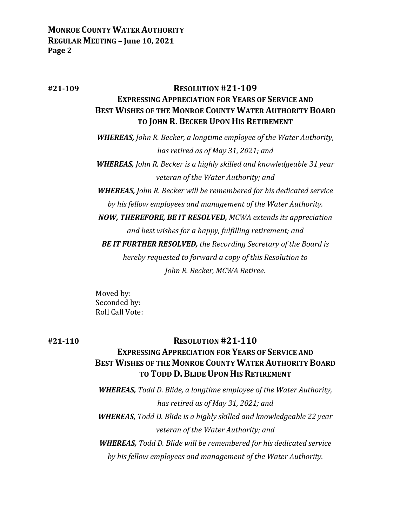## **#21‐109 RESOLUTION #21‐109 EXPRESSING APPRECIATION FOR YEARS OF SERVICE AND BEST WISHES OF THE MONROE COUNTY WATER AUTHORITY BOARD TO JOHN R. BECKER UPON HIS RETIREMENT**

*WHEREAS, John R. Becker, a longtime employee of the Water Authority, has retired as of May 31, 2021; and WHEREAS, John R. Becker is a highly skilled and knowledgeable 31 year veteran of the Water Authority; and WHEREAS, John R. Becker will be remembered for his dedicated service by his fellow employees and management of the Water Authority. NOW, THEREFORE, BE IT RESOLVED, MCWA extends its appreciation and best wishes for a happy, fulfilling retirement; and BE IT FURTHER RESOLVED, the Recording Secretary of the Board is hereby requested to forward a copy of this Resolution to John R. Becker, MCWA Retiree.*

Moved by: Seconded by: Roll Call Vote:

# **#21‐110 RESOLUTION #21‐110 EXPRESSING APPRECIATION FOR YEARS OF SERVICE AND BEST WISHES OF THE MONROE COUNTY WATER AUTHORITY BOARD TO TODD D. BLIDE UPON HIS RETIREMENT**

*WHEREAS, Todd D. Blide, a longtime employee of the Water Authority, has retired as of May 31, 2021; and WHEREAS, Todd D. Blide is a highly skilled and knowledgeable 22 year veteran of the Water Authority; and WHEREAS, Todd D. Blide will be remembered for his dedicated service by his fellow employees and management of the Water Authority.*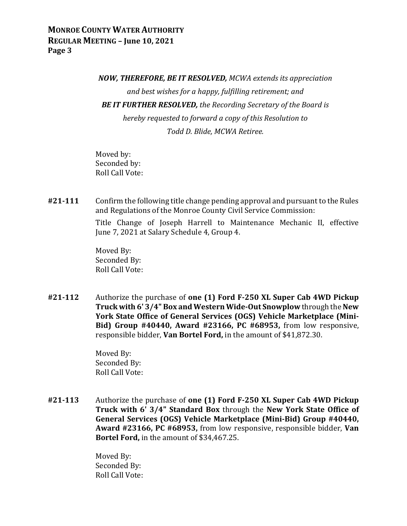*NOW, THEREFORE, BE IT RESOLVED, MCWA extends its appreciation and best wishes for a happy, fulfilling retirement; and BE IT FURTHER RESOLVED, the Recording Secretary of the Board is hereby requested to forward a copy of this Resolution to Todd D. Blide, MCWA Retiree.*

Moved by: Seconded by: Roll Call Vote:

**#21‐111** Confirm the following title change pending approval and pursuant to the Rules and Regulations of the Monroe County Civil Service Commission:

> Title Change of Joseph Harrell to Maintenance Mechanic II, effective June 7, 2021 at Salary Schedule 4, Group 4.

 Moved By: Seconded By: Roll Call Vote:

**#21‐112** Authorize the purchase of **one (1) Ford F‐250 XL Super Cab 4WD Pickup Truck with 6' 3/4" Box and Western Wide‐Out Snowplow** through the **New York State Office of General Services (OGS) Vehicle Marketplace (Mini‐ Bid) Group #40440, Award #23166, PC #68953,** from low responsive, responsible bidder, **Van Bortel Ford,** in the amount of \$41,872.30.

> Moved By: Seconded By: Roll Call Vote:

**#21‐113** Authorize the purchase of **one (1) Ford F‐250 XL Super Cab 4WD Pickup Truck with 6' 3/4" Standard Box** through the **New York State Office of General Services (OGS) Vehicle Marketplace (Mini‐Bid) Group #40440, Award #23166, PC #68953,** from low responsive, responsible bidder, **Van Bortel Ford,** in the amount of \$34,467.25.

> Moved By: Seconded By: Roll Call Vote: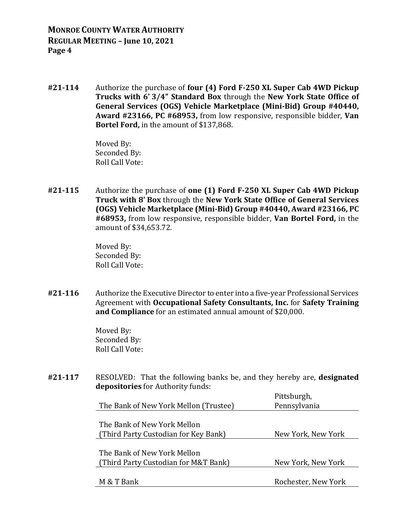**#21‐114** Authorize the purchase of **four (4) Ford F‐250 XL Super Cab 4WD Pickup Trucks with 6' 3/4" Standard Box** through the **New York State Office of General Services (OGS) Vehicle Marketplace (Mini‐Bid) Group #40440, Award #23166, PC #68953,** from low responsive, responsible bidder, **Van Bortel Ford,** in the amount of \$137,868.

> Moved By: Seconded By: Roll Call Vote:

**#21‐115** Authorize the purchase of **one (1) Ford F‐250 XL Super Cab 4WD Pickup Truck with 8' Box** through the **New York State Office of General Services (OGS) Vehicle Marketplace (Mini‐Bid) Group #40440, Award #23166, PC #68953,** from low responsive, responsible bidder, **Van Bortel Ford,** in the amount of \$34,653.72.

> Moved By: Seconded By: Roll Call Vote:

**#21‐116** Authorize the Executive Director to enter into a five-year Professional Services Agreement with **Occupational Safety Consultants, Inc.** for **Safety Training and Compliance** for an estimated annual amount of \$20,000.

> Moved By: Seconded By: Roll Call Vote:

**#21‐117** RESOLVED: That the following banks be, and they hereby are, **designated depositories** for Authority funds:

|                                       | Pittsburgh,         |
|---------------------------------------|---------------------|
| The Bank of New York Mellon (Trustee) | Pennsylvania        |
|                                       |                     |
| The Bank of New York Mellon           |                     |
| (Third Party Custodian for Key Bank)  | New York, New York  |
|                                       |                     |
| The Bank of New York Mellon           |                     |
| (Third Party Custodian for M&T Bank)  | New York, New York  |
|                                       |                     |
| M & T Bank                            | Rochester, New York |
|                                       |                     |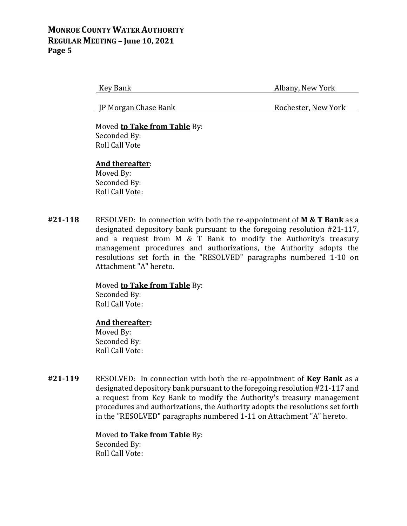Key Bank **Albany, New York** 

JP Morgan Chase Bank Rochester, New York

 Moved **to Take from Table** By: Seconded By: Roll Call Vote

### **And thereafter**:

Moved By: Seconded By: Roll Call Vote:

**#21‐118** RESOLVED: In connection with both the re-appointment of **M & T Bank** as a designated depository bank pursuant to the foregoing resolution #21-117, and a request from M & T Bank to modify the Authority's treasury management procedures and authorizations, the Authority adopts the resolutions set forth in the "RESOLVED" paragraphs numbered 1-10 on Attachment "A" hereto.

> Moved **to Take from Table** By: Seconded By: Roll Call Vote:

### **And thereafter:**

 Moved By: Seconded By: Roll Call Vote:

**#21‐119** RESOLVED: In connection with both the re-appointment of **Key Bank** as a designated depository bank pursuant to the foregoing resolution #21-117 and a request from Key Bank to modify the Authority's treasury management procedures and authorizations, the Authority adopts the resolutions set forth in the "RESOLVED" paragraphs numbered 1-11 on Attachment "A" hereto.

> Moved **to Take from Table** By: Seconded By: Roll Call Vote: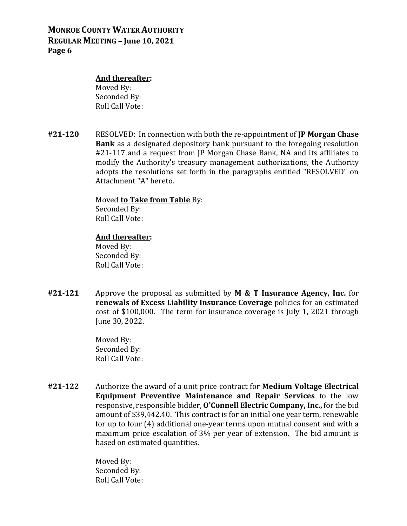#### **And thereafter:**

 Moved By: Seconded By: Roll Call Vote:

**#21‐120** RESOLVED: In connection with both the re-appointment of **JP Morgan Chase Bank** as a designated depository bank pursuant to the foregoing resolution #21-117 and a request from JP Morgan Chase Bank, NA and its affiliates to modify the Authority's treasury management authorizations, the Authority adopts the resolutions set forth in the paragraphs entitled "RESOLVED" on Attachment "A" hereto.

#### Moved **to Take from Table** By:

 Seconded By: Roll Call Vote:

#### **And thereafter:**

 Moved By: Seconded By: Roll Call Vote:

**#21‐121** Approve the proposal as submitted by **M & T Insurance Agency, Inc.** for **renewals of Excess Liability Insurance Coverage** policies for an estimated cost of \$100,000. The term for insurance coverage is July 1, 2021 through June 30, 2022.

> Moved By: Seconded By: Roll Call Vote:

**#21‐122** Authorize the award of a unit price contract for **Medium Voltage Electrical Equipment Preventive Maintenance and Repair Services** to the low responsive, responsible bidder, **O'Connell Electric Company, Inc.,** for the bid amount of \$39,442.40. This contract is for an initial one year term, renewable for up to four (4) additional one-year terms upon mutual consent and with a maximum price escalation of 3% per year of extension. The bid amount is based on estimated quantities.

> Moved By: Seconded By: Roll Call Vote: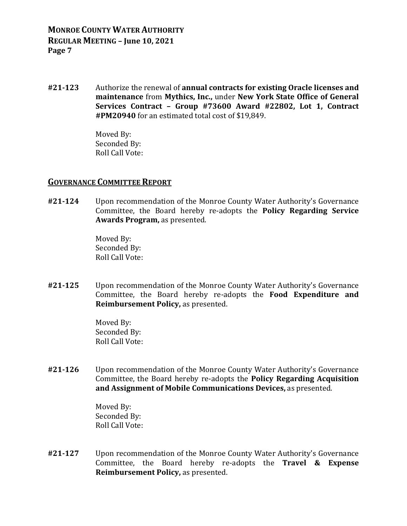**#21‐123** Authorize the renewal of **annual contracts for existing Oracle licenses and maintenance** from **Mythics, Inc.,** under **New York State Office of General Services Contract – Group #73600 Award #22802, Lot 1, Contract #PM20940** for an estimated total cost of \$19,849.

> Moved By: Seconded By: Roll Call Vote:

### **GOVERNANCE COMMITTEE REPORT**

**#21‐124** Upon recommendation of the Monroe County Water Authority's Governance Committee, the Board hereby re-adopts the **Policy Regarding Service Awards Program,** as presented.

> Moved By: Seconded By: Roll Call Vote:

**#21‐125** Upon recommendation of the Monroe County Water Authority's Governance Committee, the Board hereby re-adopts the **Food Expenditure and Reimbursement Policy,** as presented.

> Moved By: Seconded By: Roll Call Vote:

**#21‐126** Upon recommendation of the Monroe County Water Authority's Governance Committee, the Board hereby re-adopts the **Policy Regarding Acquisition and Assignment of Mobile Communications Devices,** as presented.

> Moved By: Seconded By: Roll Call Vote:

**#21‐127** Upon recommendation of the Monroe County Water Authority's Governance Committee, the Board hereby re-adopts the **Travel & Expense Reimbursement Policy,** as presented.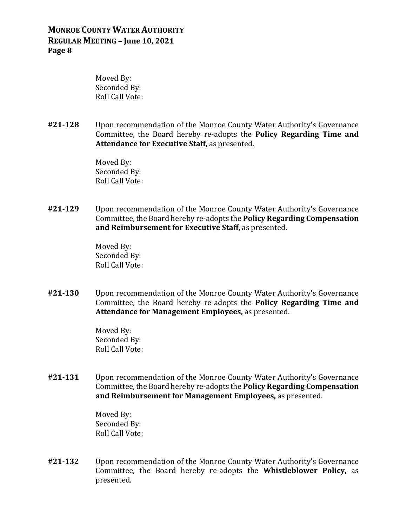Moved By: Seconded By: Roll Call Vote:

**#21‐128** Upon recommendation of the Monroe County Water Authority's Governance Committee, the Board hereby re-adopts the **Policy Regarding Time and Attendance for Executive Staff,** as presented.

> Moved By: Seconded By: Roll Call Vote:

**#21‐129** Upon recommendation of the Monroe County Water Authority's Governance Committee, the Board hereby re-adopts the **Policy Regarding Compensation and Reimbursement for Executive Staff,** as presented.

> Moved By: Seconded By: Roll Call Vote:

**#21‐130** Upon recommendation of the Monroe County Water Authority's Governance Committee, the Board hereby re-adopts the **Policy Regarding Time and Attendance for Management Employees,** as presented.

> Moved By: Seconded By: Roll Call Vote:

**#21‐131** Upon recommendation of the Monroe County Water Authority's Governance Committee, the Board hereby re-adopts the **Policy Regarding Compensation and Reimbursement for Management Employees,** as presented.

> Moved By: Seconded By: Roll Call Vote:

**#21‐132** Upon recommendation of the Monroe County Water Authority's Governance Committee, the Board hereby re-adopts the **Whistleblower Policy,** as presented.